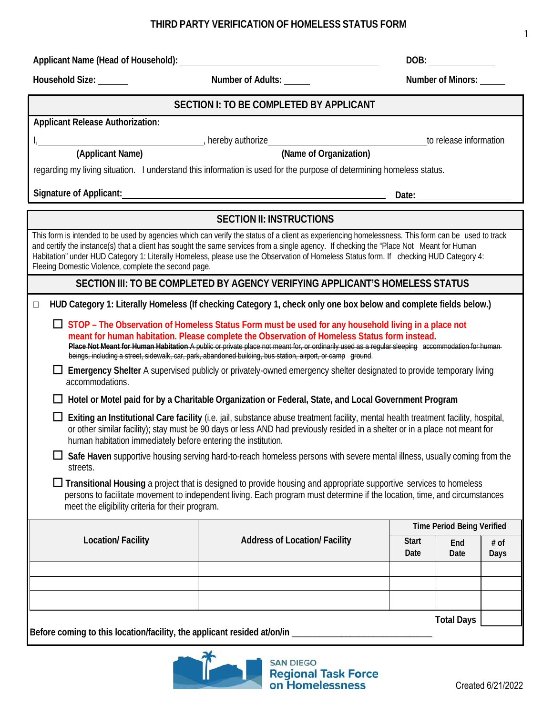## **Date Date Days Total Days Before coming to this location/facility, the applicant resided at/on/in \_\_\_\_\_\_\_\_\_\_\_\_\_\_\_\_\_\_\_\_\_\_\_\_\_\_\_\_\_\_\_ SAN DIEGO Regional Task Force**<br>on Homelessness

## **THIRD PARTY VERIFICATION OF HOMELESS STATUS FORM**

Applicant Name (Head of Household): **Applicant** Name (Head of Household): **DOB: DOB: DOB: DOB: DOB: DOB: DOB: DOB: DOB: DOB: DOB: DOB: DOB: DOB: DOB: DOB: DOB: DOB: DOB: DOB: DOB:**

## **Applicant Release Authorization:** I, , hereby authorize to release information **(Applicant Name) (Name of Organization)** regarding my living situation. I understand this information is used for the purpose of determining homeless status.

**SECTION I: TO BE COMPLETED BY APPLICANT**

**Signature** of Applicant: <u>**Date: Date: Date: Date: Date: Date: Date: Date: Date: Date: Date: Date: Date: Date: Date: Date: Date: Date: Date: Date: Date: Date: Date: Date: Da</u>** 

## **SECTION II: INSTRUCTIONS**

| This form is intended to be used by agencies which can verify the status of a client as experiencing homelessness. This form can be used to track<br>and certify the instance(s) that a client has sought the same services from a single agency. If checking the "Place Not Meant for Human<br>Habitation" under HUD Category 1: Literally Homeless, please use the Observation of Homeless Status form. If checking HUD Category 4:<br>Fleeing Domestic Violence, complete the second page. |                                      |                      |             |                       |  |  |  |
|-----------------------------------------------------------------------------------------------------------------------------------------------------------------------------------------------------------------------------------------------------------------------------------------------------------------------------------------------------------------------------------------------------------------------------------------------------------------------------------------------|--------------------------------------|----------------------|-------------|-----------------------|--|--|--|
| SECTION III: TO BE COMPLETED BY AGENCY VERIFYING APPLICANT'S HOMELESS STATUS                                                                                                                                                                                                                                                                                                                                                                                                                  |                                      |                      |             |                       |  |  |  |
| HUD Category 1: Literally Homeless (If checking Category 1, check only one box below and complete fields below.)<br>$\Box$                                                                                                                                                                                                                                                                                                                                                                    |                                      |                      |             |                       |  |  |  |
| $\Box$ STOP – The Observation of Homeless Status Form must be used for any household living in a place not<br>meant for human habitation. Please complete the Observation of Homeless Status form instead.<br>Place Not Meant for Human Habitation A public or private place not meant for, or ordinarily used as a regular sleeping accommodation for human<br>beings, including a street, sidewalk, car, park, abandoned building, bus station, airport, or camp ground.                    |                                      |                      |             |                       |  |  |  |
| Emergency Shelter A supervised publicly or privately-owned emergency shelter designated to provide temporary living<br>accommodations.                                                                                                                                                                                                                                                                                                                                                        |                                      |                      |             |                       |  |  |  |
| Hotel or Motel paid for by a Charitable Organization or Federal, State, and Local Government Program                                                                                                                                                                                                                                                                                                                                                                                          |                                      |                      |             |                       |  |  |  |
| Exiting an Institutional Care facility (i.e. jail, substance abuse treatment facility, mental health treatment facility, hospital,<br>or other similar facility); stay must be 90 days or less AND had previously resided in a shelter or in a place not meant for<br>human habitation immediately before entering the institution.                                                                                                                                                           |                                      |                      |             |                       |  |  |  |
| Safe Haven supportive housing serving hard-to-reach homeless persons with severe mental illness, usually coming from the<br>streets.                                                                                                                                                                                                                                                                                                                                                          |                                      |                      |             |                       |  |  |  |
| $\Box$ Transitional Housing a project that is designed to provide housing and appropriate supportive services to homeless<br>persons to facilitate movement to independent living. Each program must determine if the location, time, and circumstances<br>meet the eligibility criteria for their program.                                                                                                                                                                                   |                                      |                      |             |                       |  |  |  |
| <b>Time Period Being Verified</b>                                                                                                                                                                                                                                                                                                                                                                                                                                                             |                                      |                      |             |                       |  |  |  |
| Location/ Facility                                                                                                                                                                                                                                                                                                                                                                                                                                                                            | <b>Address of Location/ Facility</b> | <b>Start</b><br>Date | End<br>Date | $#$ of<br><b>Days</b> |  |  |  |
|                                                                                                                                                                                                                                                                                                                                                                                                                                                                                               |                                      |                      |             |                       |  |  |  |
|                                                                                                                                                                                                                                                                                                                                                                                                                                                                                               |                                      |                      |             |                       |  |  |  |
|                                                                                                                                                                                                                                                                                                                                                                                                                                                                                               |                                      |                      |             |                       |  |  |  |

1

**Household Size: Number of Adults: Number of Minors:**